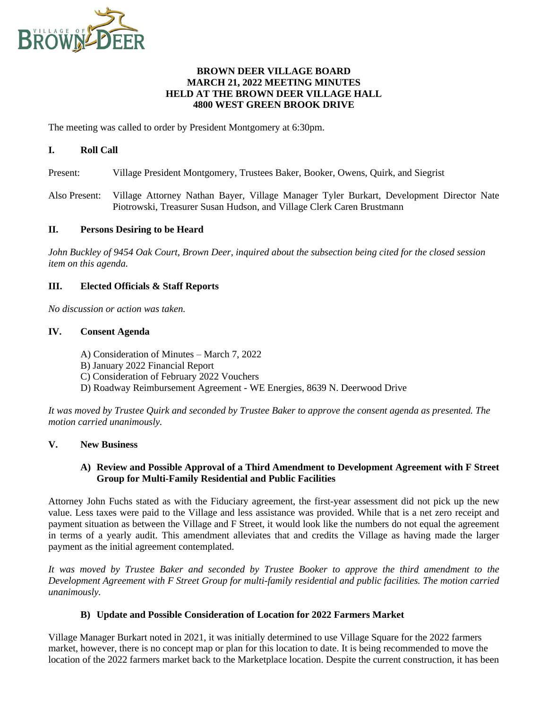

## **BROWN DEER VILLAGE BOARD MARCH 21, 2022 MEETING MINUTES HELD AT THE BROWN DEER VILLAGE HALL 4800 WEST GREEN BROOK DRIVE**

The meeting was called to order by President Montgomery at 6:30pm.

## **I. Roll Call**

- Present: Village President Montgomery, Trustees Baker, Booker, Owens, Quirk, and Siegrist
- Also Present: Village Attorney Nathan Bayer, Village Manager Tyler Burkart, Development Director Nate Piotrowski, Treasurer Susan Hudson, and Village Clerk Caren Brustmann

#### **II. Persons Desiring to be Heard**

*John Buckley of 9454 Oak Court, Brown Deer, inquired about the subsection being cited for the closed session item on this agenda.*

## **III. Elected Officials & Staff Reports**

*No discussion or action was taken.*

#### **IV. Consent Agenda**

- A) Consideration of Minutes March 7, 2022
- B) January 2022 Financial Report
- C) Consideration of February 2022 Vouchers
- D) Roadway Reimbursement Agreement WE Energies, 8639 N. Deerwood Drive

*It was moved by Trustee Quirk and seconded by Trustee Baker to approve the consent agenda as presented. The motion carried unanimously.*

## **V. New Business**

## **A) Review and Possible Approval of a Third Amendment to Development Agreement with F Street Group for Multi-Family Residential and Public Facilities**

Attorney John Fuchs stated as with the Fiduciary agreement, the first-year assessment did not pick up the new value. Less taxes were paid to the Village and less assistance was provided. While that is a net zero receipt and payment situation as between the Village and F Street, it would look like the numbers do not equal the agreement in terms of a yearly audit. This amendment alleviates that and credits the Village as having made the larger payment as the initial agreement contemplated.

*It was moved by Trustee Baker and seconded by Trustee Booker to approve the third amendment to the Development Agreement with F Street Group for multi-family residential and public facilities. The motion carried unanimously.*

## **B) Update and Possible Consideration of Location for 2022 Farmers Market**

Village Manager Burkart noted in 2021, it was initially determined to use Village Square for the 2022 farmers market, however, there is no concept map or plan for this location to date. It is being recommended to move the location of the 2022 farmers market back to the Marketplace location. Despite the current construction, it has been